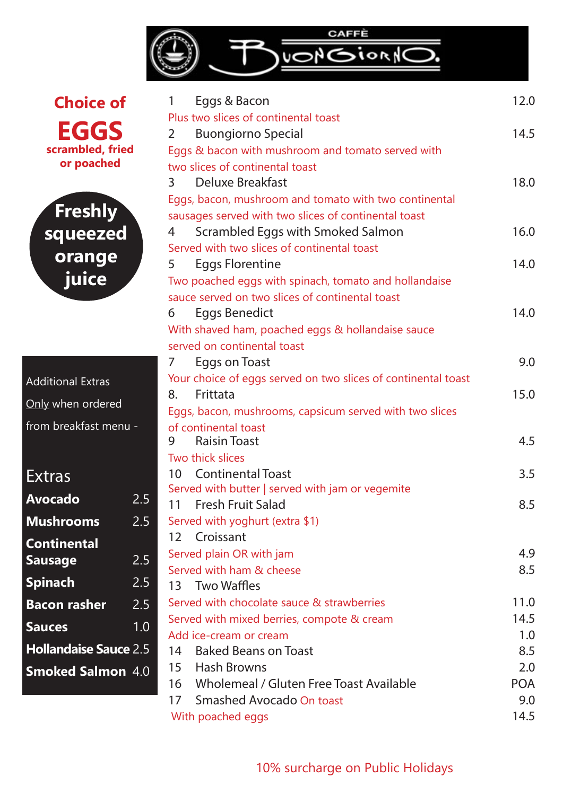

**Choice of EGGS scrambled, fried or poached**



| <b>Additional Extras</b> |
|--------------------------|
| Only when ordered        |
| from breakfast menu -    |

## Extras

| $2.\overline{5}$             |
|------------------------------|
| 2.5                          |
|                              |
| 2.5                          |
| 2.5                          |
| 2.5                          |
| 1.0                          |
| <b>Hollandaise Sauce 2.5</b> |
| <b>Smoked Salmon 4.0</b>     |
|                              |

| Eggs & Bacon<br>1                                             | 12.0       |
|---------------------------------------------------------------|------------|
| Plus two slices of continental toast                          |            |
| <b>Buongiorno Special</b><br>2                                | 14.5       |
| Eggs & bacon with mushroom and tomato served with             |            |
| two slices of continental toast                               |            |
| Deluxe Breakfast<br>$3 \quad$                                 | 18.0       |
| Eggs, bacon, mushroom and tomato with two continental         |            |
| sausages served with two slices of continental toast          |            |
| Scrambled Eggs with Smoked Salmon<br>4                        | 16.0       |
| Served with two slices of continental toast                   |            |
| <b>Eggs Florentine</b><br>5                                   | 14.0       |
| Two poached eggs with spinach, tomato and hollandaise         |            |
| sauce served on two slices of continental toast               |            |
| Eggs Benedict<br>6                                            | 14.0       |
| With shaved ham, poached eggs & hollandaise sauce             |            |
| served on continental toast                                   |            |
| Eggs on Toast<br>7                                            | 9.0        |
| Your choice of eggs served on two slices of continental toast |            |
| Frittata<br>8.                                                | 15.0       |
| Eggs, bacon, mushrooms, capsicum served with two slices       |            |
| of continental toast                                          |            |
| <b>Raisin Toast</b><br>9                                      | 4.5        |
| Two thick slices                                              |            |
| 10 Continental Toast                                          | 3.5        |
| Served with butter   served with jam or vegemite              |            |
| <b>Fresh Fruit Salad</b><br>11                                | 8.5        |
| Served with yoghurt (extra \$1)                               |            |
| Croissant<br>12 <sup>2</sup>                                  |            |
| Served plain OR with jam                                      | 4.9        |
| Served with ham & cheese                                      | 8.5        |
| 13 Two Waffles                                                |            |
| Served with chocolate sauce & strawberries                    | 11.0       |
| Served with mixed berries, compote & cream                    | 14.5       |
| Add ice-cream or cream                                        | 1.0        |
| <b>Baked Beans on Toast</b><br>14                             | 8.5        |
| 15 Hash Browns                                                | 2.0        |
| 16 Wholemeal / Gluten Free Toast Available                    | <b>POA</b> |
| 17 Smashed Avocado On toast                                   | 9.0        |
| With poached eggs                                             | 14.5       |